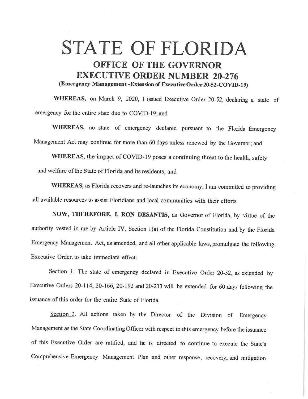## **STATE OF FLORIDA OFFICE OF THE GOVERNOR EXECUTIVE ORDER NUMBER 20-276 (Emergency Management -Extension of ExecutiveOrder20-52-COVID-19)**

**WHEREAS,** on March 9, 2020, I issued Executive Order 20-52, declaring a state of emergency for the entire state due to COVID-19; and

WHEREAS, no state of emergency declared pursuant to the Florida Emergency Management Act may continue for more than 60 days unless renewed by the Governor; and

**WHEREAS,** the impact of COVID-19 poses a continuing threat to the health, safety and welfare of the State of Florida and its residents; and

**WHEREAS,** as Florida recovers and re-launches its economy, I am committed to providing all available resources to assist Floridians and local communities with their efforts.

**NOW, THEREFORE, I, RON DESANTIS,** as Governor of Florida, by virtue of the authority vested in me by Article IV, Section l (a) of the Florida Constitution and by the Florida Emergency Management Act, as amended, and all other applicable laws, promulgate the following Executive Order, to take immediate effect:

Section 1. The state of emergency declared in Executive Order 20-52, as extended by Executive Orders 20-114, 20-166, 20-192 and 20-213 will be extended for 60 days following the issuance of this order for the entire State of Florida.

Section 2. All actions taken by the Director of the Division of Emergency Management as the State Coordinating Officer with respect to this emergency before the issuance of this Executive Order are ratified, and he is directed to continue to execute the State's Comprehensive Emergency Management Plan and other response, recovery, and mitigation